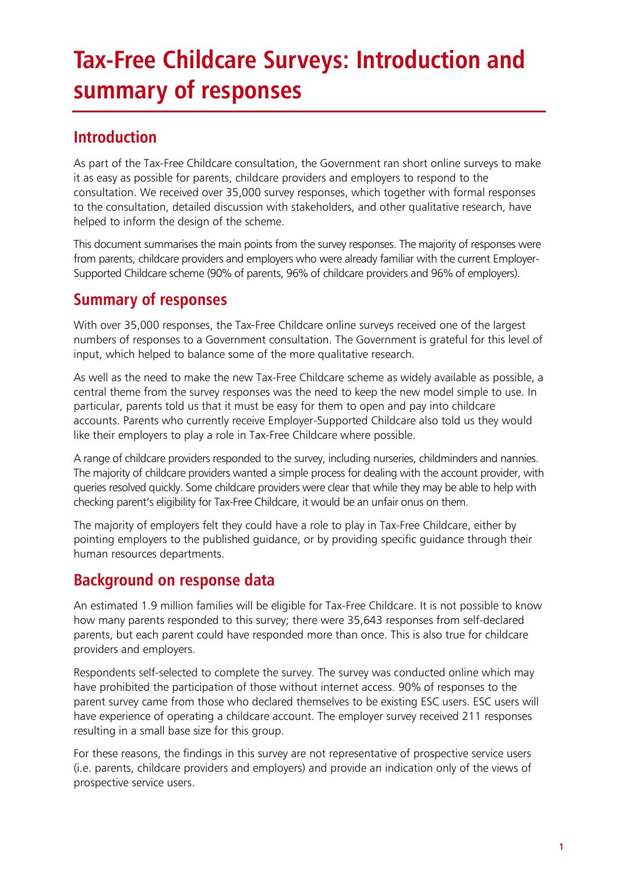### **Tax-Free Childcare Surveys: Introduction and summary of responses**

### **Introduction**

As part of the Tax-Free Childcare consultation, the Government ran short online surveys to make it as easy as possible for parents, childcare providers and employers to respond to the consultation. We received over 35,000 survey responses, which together with formal responses to the consultation, detailed discussion with stakeholders, and other qualitative research, have helped to inform the design of the scheme.

This document summarises the main points from the survey responses. The majority of responses were from parents, childcare providers and employers who were already familiar with the current Employer-Supported Childcare scheme (90% of parents, 96% of childcare providers and 96% of employers).

#### **Summary of responses**

With over 35,000 responses, the Tax-Free Childcare online surveys received one of the largest numbers of responses to a Government consultation. The Government is grateful for this level of input, which helped to balance some of the more qualitative research.

As well as the need to make the new Tax-Free Childcare scheme as widely available as possible, a central theme from the survey responses was the need to keep the new model simple to use. In particular, parents told us that it must be easy for them to open and pay into childcare accounts. Parents who currently receive Employer-Supported Childcare also told us they would like their employers to play a role in Tax-Free Childcare where possible.

A range of childcare providers responded to the survey, including nurseries, childminders and nannies. The majority of childcare providers wanted a simple process for dealing with the account provider, with queries resolved quickly. Some childcare providers were clear that while they may be able to help with checking parent's eligibility for Tax-Free Childcare, it would be an unfair onus on them.

The majority of employers felt they could have a role to play in Tax-Free Childcare, either by pointing employers to the published guidance, or by providing specific guidance through their human resources departments.

#### **Background on response data**

An estimated 1.9 million families will be eligible for Tax-Free Childcare. It is not possible to know how many parents responded to this survey; there were 35,643 responses from self-declared parents, but each parent could have responded more than once. This is also true for childcare providers and employers.

Respondents self-selected to complete the survey. The survey was conducted online which may have prohibited the participation of those without internet access. 90% of responses to the parent survey came from those who declared themselves to be existing ESC users. ESC users will have experience of operating a childcare account. The employer survey received 211 responses resulting in a small base size for this group.

For these reasons, the findings in this survey are not representative of prospective service users (i.e. parents, childcare providers and employers) and provide an indication only of the views of prospective service users.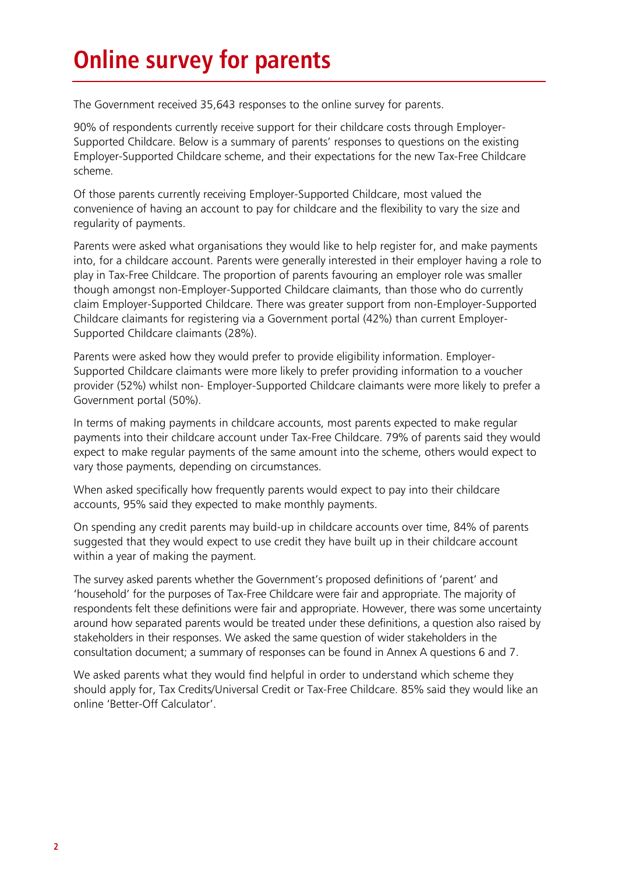## **Online survey for parents**

The Government received 35,643 responses to the online survey for parents.

90% of respondents currently receive support for their childcare costs through Employer-Supported Childcare. Below is a summary of parents' responses to questions on the existing Employer-Supported Childcare scheme, and their expectations for the new Tax-Free Childcare scheme.

Of those parents currently receiving Employer-Supported Childcare, most valued the convenience of having an account to pay for childcare and the flexibility to vary the size and regularity of payments.

Parents were asked what organisations they would like to help register for, and make payments into, for a childcare account. Parents were generally interested in their employer having a role to play in Tax-Free Childcare. The proportion of parents favouring an employer role was smaller though amongst non-Employer-Supported Childcare claimants, than those who do currently claim Employer-Supported Childcare. There was greater support from non-Employer-Supported Childcare claimants for registering via a Government portal (42%) than current Employer-Supported Childcare claimants (28%).

Parents were asked how they would prefer to provide eligibility information. Employer-Supported Childcare claimants were more likely to prefer providing information to a voucher provider (52%) whilst non- Employer-Supported Childcare claimants were more likely to prefer a Government portal (50%).

In terms of making payments in childcare accounts, most parents expected to make regular payments into their childcare account under Tax-Free Childcare. 79% of parents said they would expect to make regular payments of the same amount into the scheme, others would expect to vary those payments, depending on circumstances.

When asked specifically how frequently parents would expect to pay into their childcare accounts, 95% said they expected to make monthly payments.

On spending any credit parents may build-up in childcare accounts over time, 84% of parents suggested that they would expect to use credit they have built up in their childcare account within a year of making the payment.

The survey asked parents whether the Government's proposed definitions of 'parent' and 'household' for the purposes of Tax-Free Childcare were fair and appropriate. The majority of respondents felt these definitions were fair and appropriate. However, there was some uncertainty around how separated parents would be treated under these definitions, a question also raised by stakeholders in their responses. We asked the same question of wider stakeholders in the consultation document; a summary of responses can be found in Annex A questions 6 and 7.

We asked parents what they would find helpful in order to understand which scheme they should apply for, Tax Credits/Universal Credit or Tax-Free Childcare. 85% said they would like an online 'Better-Off Calculator'.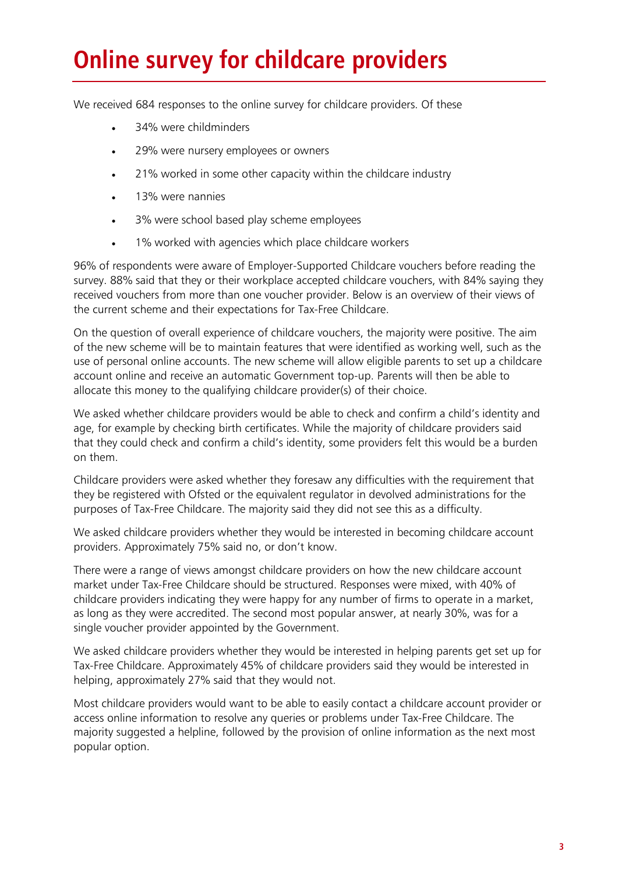# **Online survey for childcare providers**

We received 684 responses to the online survey for childcare providers. Of these

- 34% were childminders
- 29% were nursery employees or owners
- 21% worked in some other capacity within the childcare industry
- 13% were nannies
- 3% were school based play scheme employees
- 1% worked with agencies which place childcare workers

96% of respondents were aware of Employer-Supported Childcare vouchers before reading the survey. 88% said that they or their workplace accepted childcare vouchers, with 84% saying they received vouchers from more than one voucher provider. Below is an overview of their views of the current scheme and their expectations for Tax-Free Childcare.

On the question of overall experience of childcare vouchers, the majority were positive. The aim of the new scheme will be to maintain features that were identified as working well, such as the use of personal online accounts. The new scheme will allow eligible parents to set up a childcare account online and receive an automatic Government top-up. Parents will then be able to allocate this money to the qualifying childcare provider(s) of their choice.

We asked whether childcare providers would be able to check and confirm a child's identity and age, for example by checking birth certificates. While the majority of childcare providers said that they could check and confirm a child's identity, some providers felt this would be a burden on them.

Childcare providers were asked whether they foresaw any difficulties with the requirement that they be registered with Ofsted or the equivalent regulator in devolved administrations for the purposes of Tax-Free Childcare. The majority said they did not see this as a difficulty.

We asked childcare providers whether they would be interested in becoming childcare account providers. Approximately 75% said no, or don't know.

There were a range of views amongst childcare providers on how the new childcare account market under Tax-Free Childcare should be structured. Responses were mixed, with 40% of childcare providers indicating they were happy for any number of firms to operate in a market, as long as they were accredited. The second most popular answer, at nearly 30%, was for a single voucher provider appointed by the Government.

We asked childcare providers whether they would be interested in helping parents get set up for Tax-Free Childcare. Approximately 45% of childcare providers said they would be interested in helping, approximately 27% said that they would not.

Most childcare providers would want to be able to easily contact a childcare account provider or access online information to resolve any queries or problems under Tax-Free Childcare. The majority suggested a helpline, followed by the provision of online information as the next most popular option.